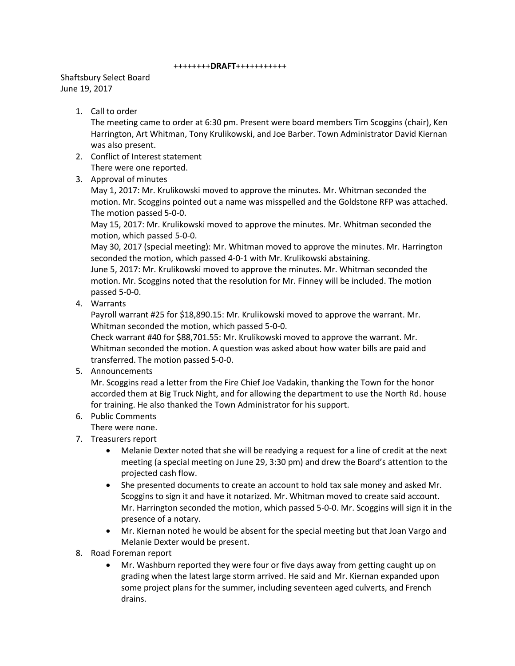## ++++++++**DRAFT**+++++++++++

## Shaftsbury Select Board June 19, 2017

## 1. Call to order

The meeting came to order at 6:30 pm. Present were board members Tim Scoggins (chair), Ken Harrington, Art Whitman, Tony Krulikowski, and Joe Barber. Town Administrator David Kiernan was also present.

- 2. Conflict of Interest statement There were one reported.
- 3. Approval of minutes

May 1, 2017: Mr. Krulikowski moved to approve the minutes. Mr. Whitman seconded the motion. Mr. Scoggins pointed out a name was misspelled and the Goldstone RFP was attached. The motion passed 5-0-0.

May 15, 2017: Mr. Krulikowski moved to approve the minutes. Mr. Whitman seconded the motion, which passed 5-0-0.

May 30, 2017 (special meeting): Mr. Whitman moved to approve the minutes. Mr. Harrington seconded the motion, which passed 4-0-1 with Mr. Krulikowski abstaining.

June 5, 2017: Mr. Krulikowski moved to approve the minutes. Mr. Whitman seconded the motion. Mr. Scoggins noted that the resolution for Mr. Finney will be included. The motion passed 5-0-0.

4. Warrants

Payroll warrant #25 for \$18,890.15: Mr. Krulikowski moved to approve the warrant. Mr. Whitman seconded the motion, which passed 5-0-0.

Check warrant #40 for \$88,701.55: Mr. Krulikowski moved to approve the warrant. Mr. Whitman seconded the motion. A question was asked about how water bills are paid and transferred. The motion passed 5-0-0.

5. Announcements

Mr. Scoggins read a letter from the Fire Chief Joe Vadakin, thanking the Town for the honor accorded them at Big Truck Night, and for allowing the department to use the North Rd. house for training. He also thanked the Town Administrator for his support.

- 6. Public Comments
- There were none.
- 7. Treasurers report
	- Melanie Dexter noted that she will be readying a request for a line of credit at the next meeting (a special meeting on June 29, 3:30 pm) and drew the Board's attention to the projected cash flow.
	- She presented documents to create an account to hold tax sale money and asked Mr. Scoggins to sign it and have it notarized. Mr. Whitman moved to create said account. Mr. Harrington seconded the motion, which passed 5-0-0. Mr. Scoggins will sign it in the presence of a notary.
	- Mr. Kiernan noted he would be absent for the special meeting but that Joan Vargo and Melanie Dexter would be present.
- 8. Road Foreman report
	- Mr. Washburn reported they were four or five days away from getting caught up on grading when the latest large storm arrived. He said and Mr. Kiernan expanded upon some project plans for the summer, including seventeen aged culverts, and French drains.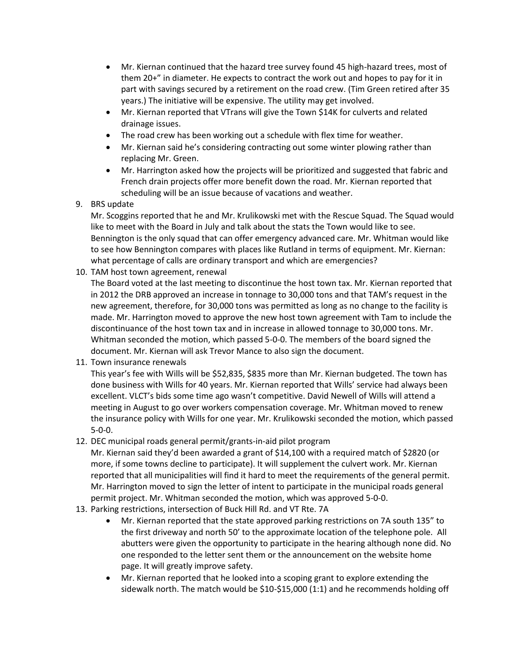- Mr. Kiernan continued that the hazard tree survey found 45 high-hazard trees, most of them 20+" in diameter. He expects to contract the work out and hopes to pay for it in part with savings secured by a retirement on the road crew. (Tim Green retired after 35 years.) The initiative will be expensive. The utility may get involved.
- Mr. Kiernan reported that VTrans will give the Town \$14K for culverts and related drainage issues.
- The road crew has been working out a schedule with flex time for weather.
- Mr. Kiernan said he's considering contracting out some winter plowing rather than replacing Mr. Green.
- Mr. Harrington asked how the projects will be prioritized and suggested that fabric and French drain projects offer more benefit down the road. Mr. Kiernan reported that scheduling will be an issue because of vacations and weather.
- 9. BRS update

Mr. Scoggins reported that he and Mr. Krulikowski met with the Rescue Squad. The Squad would like to meet with the Board in July and talk about the stats the Town would like to see. Bennington is the only squad that can offer emergency advanced care. Mr. Whitman would like to see how Bennington compares with places like Rutland in terms of equipment. Mr. Kiernan: what percentage of calls are ordinary transport and which are emergencies?

10. TAM host town agreement, renewal

The Board voted at the last meeting to discontinue the host town tax. Mr. Kiernan reported that in 2012 the DRB approved an increase in tonnage to 30,000 tons and that TAM's request in the new agreement, therefore, for 30,000 tons was permitted as long as no change to the facility is made. Mr. Harrington moved to approve the new host town agreement with Tam to include the discontinuance of the host town tax and in increase in allowed tonnage to 30,000 tons. Mr. Whitman seconded the motion, which passed 5-0-0. The members of the board signed the document. Mr. Kiernan will ask Trevor Mance to also sign the document.

11. Town insurance renewals

This year's fee with Wills will be \$52,835, \$835 more than Mr. Kiernan budgeted. The town has done business with Wills for 40 years. Mr. Kiernan reported that Wills' service had always been excellent. VLCT's bids some time ago wasn't competitive. David Newell of Wills will attend a meeting in August to go over workers compensation coverage. Mr. Whitman moved to renew the insurance policy with Wills for one year. Mr. Krulikowski seconded the motion, which passed 5-0-0.

12. DEC municipal roads general permit/grants-in-aid pilot program

Mr. Kiernan said they'd been awarded a grant of \$14,100 with a required match of \$2820 (or more, if some towns decline to participate). It will supplement the culvert work. Mr. Kiernan reported that all municipalities will find it hard to meet the requirements of the general permit. Mr. Harrington moved to sign the letter of intent to participate in the municipal roads general permit project. Mr. Whitman seconded the motion, which was approved 5-0-0.

- 13. Parking restrictions, intersection of Buck Hill Rd. and VT Rte. 7A
	- Mr. Kiernan reported that the state approved parking restrictions on 7A south 135" to the first driveway and north 50' to the approximate location of the telephone pole. All abutters were given the opportunity to participate in the hearing although none did. No one responded to the letter sent them or the announcement on the website home page. It will greatly improve safety.
	- Mr. Kiernan reported that he looked into a scoping grant to explore extending the sidewalk north. The match would be \$10-\$15,000 (1:1) and he recommends holding off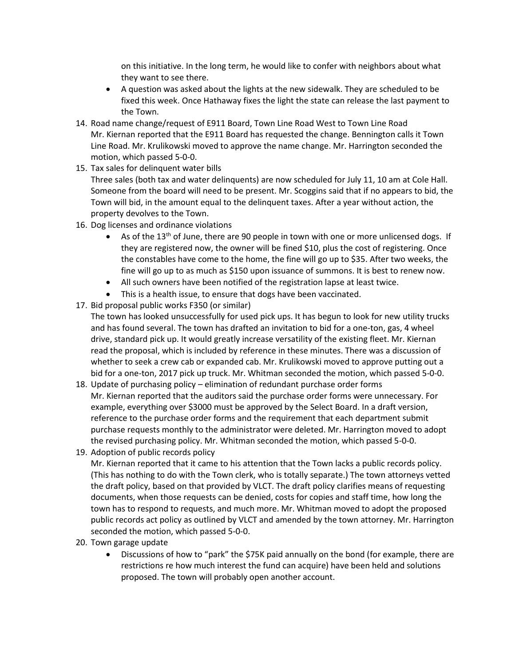on this initiative. In the long term, he would like to confer with neighbors about what they want to see there.

- A question was asked about the lights at the new sidewalk. They are scheduled to be fixed this week. Once Hathaway fixes the light the state can release the last payment to the Town.
- 14. Road name change/request of E911 Board, Town Line Road West to Town Line Road Mr. Kiernan reported that the E911 Board has requested the change. Bennington calls it Town Line Road. Mr. Krulikowski moved to approve the name change. Mr. Harrington seconded the motion, which passed 5-0-0.
- 15. Tax sales for delinquent water bills Three sales (both tax and water delinquents) are now scheduled for July 11, 10 am at Cole Hall. Someone from the board will need to be present. Mr. Scoggins said that if no appears to bid, the Town will bid, in the amount equal to the delinquent taxes. After a year without action, the property devolves to the Town.
- 16. Dog licenses and ordinance violations
	- $\bullet$  As of the 13<sup>th</sup> of June, there are 90 people in town with one or more unlicensed dogs. If they are registered now, the owner will be fined \$10, plus the cost of registering. Once the constables have come to the home, the fine will go up to \$35. After two weeks, the fine will go up to as much as \$150 upon issuance of summons. It is best to renew now.
	- All such owners have been notified of the registration lapse at least twice.
	- This is a health issue, to ensure that dogs have been vaccinated.
- 17. Bid proposal public works F350 (or similar)
	- The town has looked unsuccessfully for used pick ups. It has begun to look for new utility trucks and has found several. The town has drafted an invitation to bid for a one-ton, gas, 4 wheel drive, standard pick up. It would greatly increase versatility of the existing fleet. Mr. Kiernan read the proposal, which is included by reference in these minutes. There was a discussion of whether to seek a crew cab or expanded cab. Mr. Krulikowski moved to approve putting out a bid for a one-ton, 2017 pick up truck. Mr. Whitman seconded the motion, which passed 5-0-0.
- 18. Update of purchasing policy elimination of redundant purchase order forms Mr. Kiernan reported that the auditors said the purchase order forms were unnecessary. For example, everything over \$3000 must be approved by the Select Board. In a draft version, reference to the purchase order forms and the requirement that each department submit purchase requests monthly to the administrator were deleted. Mr. Harrington moved to adopt the revised purchasing policy. Mr. Whitman seconded the motion, which passed 5-0-0.
- 19. Adoption of public records policy

Mr. Kiernan reported that it came to his attention that the Town lacks a public records policy. (This has nothing to do with the Town clerk, who is totally separate.) The town attorneys vetted the draft policy, based on that provided by VLCT. The draft policy clarifies means of requesting documents, when those requests can be denied, costs for copies and staff time, how long the town has to respond to requests, and much more. Mr. Whitman moved to adopt the proposed public records act policy as outlined by VLCT and amended by the town attorney. Mr. Harrington seconded the motion, which passed 5-0-0.

- 20. Town garage update
	- Discussions of how to "park" the \$75K paid annually on the bond (for example, there are restrictions re how much interest the fund can acquire) have been held and solutions proposed. The town will probably open another account.